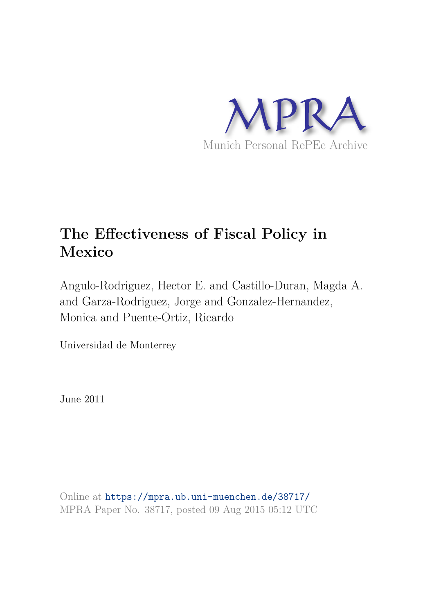

# **The Effectiveness of Fiscal Policy in Mexico**

Angulo-Rodriguez, Hector E. and Castillo-Duran, Magda A. and Garza-Rodriguez, Jorge and Gonzalez-Hernandez, Monica and Puente-Ortiz, Ricardo

Universidad de Monterrey

June 2011

Online at https://mpra.ub.uni-muenchen.de/38717/ MPRA Paper No. 38717, posted 09 Aug 2015 05:12 UTC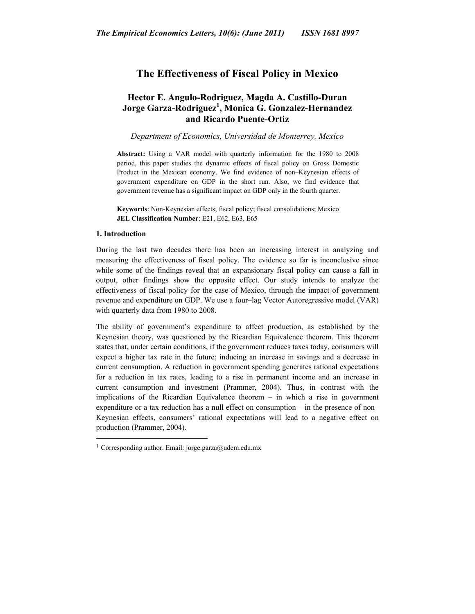# **The Effectiveness of Fiscal Policy in Mexico**

# **Hector E. Angulo-Rodriguez, Magda A. Castillo-Duran Jorge Garza-Rodriguez<sup>1</sup> , Monica G. Gonzalez-Hernandez and Ricardo Puente-Ortiz**

*Department of Economics, Universidad de Monterrey, Mexico*

**Abstract:** Using a VAR model with quarterly information for the 1980 to 2008 period, this paper studies the dynamic effects of fiscal policy on Gross Domestic Product in the Mexican economy. We find evidence of non–Keynesian effects of government expenditure on GDP in the short run. Also, we find evidence that government revenue has a significant impact on GDP only in the fourth quarter.

**Keywords**: Non-Keynesian effects; fiscal policy; fiscal consolidations; Mexico **JEL Classification Number**: E21, E62, E63, E65

### **1. Introduction**

During the last two decades there has been an increasing interest in analyzing and measuring the effectiveness of fiscal policy. The evidence so far is inconclusive since while some of the findings reveal that an expansionary fiscal policy can cause a fall in output, other findings show the opposite effect. Our study intends to analyze the effectiveness of fiscal policy for the case of Mexico, through the impact of government revenue and expenditure on GDP. We use a four–lag Vector Autoregressive model (VAR) with quarterly data from 1980 to 2008.

The ability of government's expenditure to affect production, as established by the Keynesian theory, was questioned by the Ricardian Equivalence theorem. This theorem states that, under certain conditions, if the government reduces taxes today, consumers will expect a higher tax rate in the future; inducing an increase in savings and a decrease in current consumption. A reduction in government spending generates rational expectations for a reduction in tax rates, leading to a rise in permanent income and an increase in current consumption and investment (Prammer, 2004). Thus, in contrast with the implications of the Ricardian Equivalence theorem – in which a rise in government expenditure or a tax reduction has a null effect on consumption – in the presence of non– Keynesian effects, consumers' rational expectations will lead to a negative effect on production (Prammer, 2004).

<sup>1</sup> Corresponding author. Email: jorge.garza@udem.edu.mx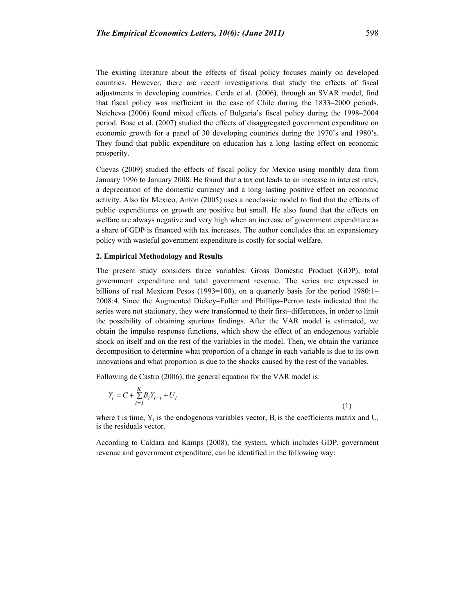The existing literature about the effects of fiscal policy focuses mainly on developed countries. However, there are recent investigations that study the effects of fiscal adjustments in developing countries. Cerda et al. (2006), through an SVAR model, find that fiscal policy was inefficient in the case of Chile during the 1833–2000 periods. Neicheva (2006) found mixed effects of Bulgaria's fiscal policy during the 1998–2004 period. Bose et al. (2007) studied the effects of disaggregated government expenditure on economic growth for a panel of 30 developing countries during the 1970's and 1980's. They found that public expenditure on education has a long–lasting effect on economic prosperity.

Cuevas (2009) studied the effects of fiscal policy for Mexico using monthly data from January 1996 to January 2008. He found that a tax cut leads to an increase in interest rates, a depreciation of the domestic currency and a long–lasting positive effect on economic activity. Also for Mexico, Antón (2005) uses a neoclassic model to find that the effects of public expenditures on growth are positive but small. He also found that the effects on welfare are always negative and very high when an increase of government expenditure as a share of GDP is financed with tax increases. The author concludes that an expansionary policy with wasteful government expenditure is costly for social welfare.

## **2. Empirical Methodology and Results**

The present study considers three variables: Gross Domestic Product (GDP), total government expenditure and total government revenue. The series are expressed in billions of real Mexican Pesos (1993=100), on a quarterly basis for the period 1980:1– 2008:4. Since the Augmented Dickey–Fuller and Phillips–Perron tests indicated that the series were not stationary, they were transformed to their first–differences, in order to limit the possibility of obtaining spurious findings. After the VAR model is estimated, we obtain the impulse response functions, which show the effect of an endogenous variable shock on itself and on the rest of the variables in the model. Then, we obtain the variance decomposition to determine what proportion of a change in each variable is due to its own innovations and what proportion is due to the shocks caused by the rest of the variables.

Following de Castro (2006), the general equation for the VAR model is:

$$
Y_i = C + \sum_{i=1}^{K} B_i Y_{t-i} + U_t
$$
\n(1)

where t is time,  $Y_t$  is the endogenous variables vector,  $B_i$  is the coefficients matrix and  $U_t$ is the residuals vector.

According to Caldara and Kamps (2008), the system, which includes GDP, government revenue and government expenditure, can be identified in the following way: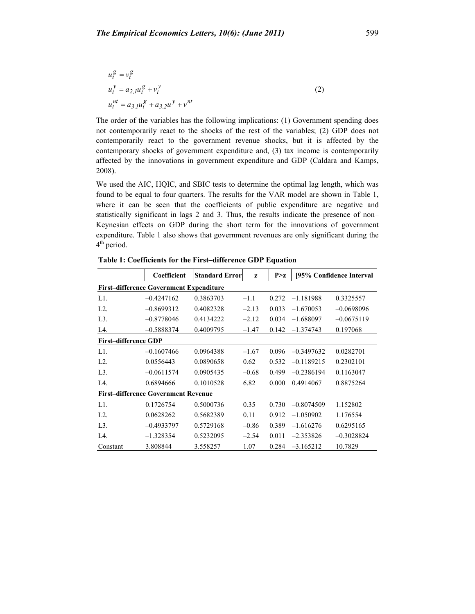$$
u_t^g = v_t^g
$$
  
\n
$$
u_t^y = a_{2,l} u_t^g + v_t^y
$$
  
\n
$$
u_t^{nt} = a_{3,l} u_t^g + a_{3,2} u^y + v^{nt}
$$
\n(2)

The order of the variables has the following implications: (1) Government spending does not contemporarily react to the shocks of the rest of the variables; (2) GDP does not contemporarily react to the government revenue shocks, but it is affected by the contemporary shocks of government expenditure and, (3) tax income is contemporarily affected by the innovations in government expenditure and GDP (Caldara and Kamps, 2008).

We used the AIC, HQIC, and SBIC tests to determine the optimal lag length, which was found to be equal to four quarters. The results for the VAR model are shown in Table 1, where it can be seen that the coefficients of public expenditure are negative and statistically significant in lags 2 and 3. Thus, the results indicate the presence of non– Keynesian effects on GDP during the short term for the innovations of government expenditure. Table 1 also shows that government revenues are only significant during the 4<sup>th</sup> period.

|                                                | Coefficient  | <b>Standard Error</b> | z       | P > z | [95% Confidence Interval] |              |  |  |
|------------------------------------------------|--------------|-----------------------|---------|-------|---------------------------|--------------|--|--|
| <b>First-difference Government Expenditure</b> |              |                       |         |       |                           |              |  |  |
| $L1$ .                                         | $-0.4247162$ | 0.3863703             | $-1.1$  | 0.272 | $-1.181988$               | 0.3325557    |  |  |
| $L2$ .                                         | $-0.8699312$ | 0.4082328             | $-2.13$ | 0.033 | $-1.670053$               | $-0.0698096$ |  |  |
| $L3$ .                                         | $-0.8778046$ | 0.4134222             | $-2.12$ | 0.034 | $-1.688097$               | $-0.0675119$ |  |  |
| L4.                                            | $-0.5888374$ | 0.4009795             | $-1.47$ | 0.142 | $-1.374743$               | 0.197068     |  |  |
| <b>First-difference GDP</b>                    |              |                       |         |       |                           |              |  |  |
| $L1$ .                                         | $-0.1607466$ | 0.0964388             | $-1.67$ | 0.096 | $-0.3497632$              | 0.0282701    |  |  |
| $L2$ .                                         | 0.0556443    | 0.0890658             | 0.62    | 0.532 | $-0.1189215$              | 0.2302101    |  |  |
| $L3$ .                                         | $-0.0611574$ | 0.0905435             | $-0.68$ | 0.499 | $-0.2386194$              | 0.1163047    |  |  |
| L4.                                            | 0.6894666    | 0.1010528             | 6.82    | 0.000 | 0.4914067                 | 0.8875264    |  |  |
| <b>First-difference Government Revenue</b>     |              |                       |         |       |                           |              |  |  |
| L1.                                            | 0.1726754    | 0.5000736             | 0.35    | 0.730 | $-0.8074509$              | 1.152802     |  |  |
| $L2$ .                                         | 0.0628262    | 0.5682389             | 0.11    | 0.912 | $-1.050902$               | 1.176554     |  |  |
| $L3$ .                                         | $-0.4933797$ | 0.5729168             | $-0.86$ | 0.389 | $-1.616276$               | 0.6295165    |  |  |
| L <sub>4</sub>                                 | $-1.328354$  | 0.5232095             | $-2.54$ | 0.011 | $-2.353826$               | $-0.3028824$ |  |  |
| Constant                                       | 3.808844     | 3.558257              | 1.07    | 0.284 | $-3.165212$               | 10.7829      |  |  |

**Table 1: Coefficients for the First–difference GDP Equation**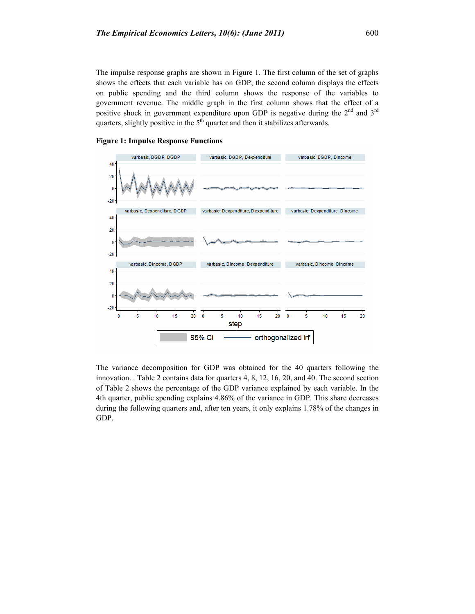The impulse response graphs are shown in Figure 1. The first column of the set of graphs shows the effects that each variable has on GDP; the second column displays the effects on public spending and the third column shows the response of the variables to government revenue. The middle graph in the first column shows that the effect of a positive shock in government expenditure upon GDP is negative during the 2<sup>nd</sup> and 3<sup>rd</sup> quarters, slightly positive in the  $5<sup>th</sup>$  quarter and then it stabilizes afterwards.



#### **Figure 1: Impulse Response Functions**

The variance decomposition for GDP was obtained for the 40 quarters following the innovation. . Table 2 contains data for quarters 4, 8, 12, 16, 20, and 40. The second section of Table 2 shows the percentage of the GDP variance explained by each variable. In the 4th quarter, public spending explains 4.86% of the variance in GDP. This share decreases during the following quarters and, after ten years, it only explains 1.78% of the changes in GDP.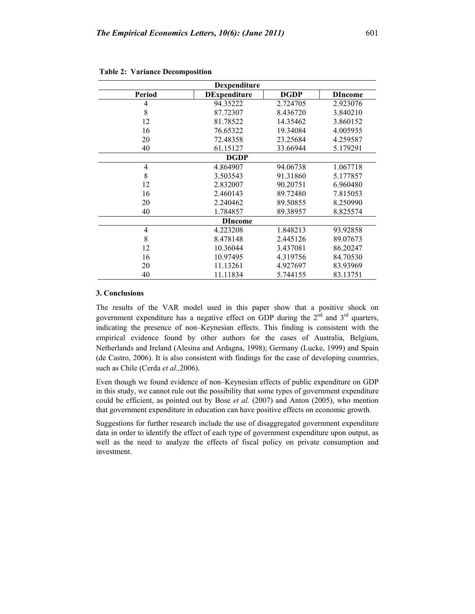| Dexpenditure   |                     |             |                |  |  |  |  |  |
|----------------|---------------------|-------------|----------------|--|--|--|--|--|
| Period         | <b>DExpenditure</b> | <b>DGDP</b> | <b>DIncome</b> |  |  |  |  |  |
| 4              | 94.35222            | 2.724705    | 2.923076       |  |  |  |  |  |
| 8              | 87.72307            | 8.436720    | 3.840210       |  |  |  |  |  |
| 12             | 81.78522            | 14.35462    | 3.860152       |  |  |  |  |  |
| 16             | 76.65322            | 19.34084    | 4.005935       |  |  |  |  |  |
| 20             | 72.48358            | 23.25684    | 4.259587       |  |  |  |  |  |
| 40             | 61.15127            | 33.66944    | 5.179291       |  |  |  |  |  |
| <b>DGDP</b>    |                     |             |                |  |  |  |  |  |
| 4              | 4.864907            | 94.06738    | 1.067718       |  |  |  |  |  |
| 8              | 3.503543            | 91.31860    | 5.177857       |  |  |  |  |  |
| 12             | 2.832007            | 90.20751    | 6.960480       |  |  |  |  |  |
| 16             | 2.460143            | 89.72480    | 7.815053       |  |  |  |  |  |
| 20             | 2.240462            | 89.50855    | 8.250990       |  |  |  |  |  |
| 40             | 1.784857            | 89.38957    | 8.825574       |  |  |  |  |  |
| <b>DIncome</b> |                     |             |                |  |  |  |  |  |
| 4              | 4.223208            | 1.848213    | 93.92858       |  |  |  |  |  |
| 8              | 8.478148            | 2.445126    | 89.07673       |  |  |  |  |  |
| 12             | 10.36044            | 3.437081    | 86.20247       |  |  |  |  |  |
| 16             | 10.97495            | 4.319756    | 84.70530       |  |  |  |  |  |
| 20             | 11.13261            | 4.927697    | 83.93969       |  |  |  |  |  |
| 40             | 11.11834            | 5.744155    | 83.13751       |  |  |  |  |  |

#### **Table 2: Variance Decomposition**

## **3. Conclusions**

The results of the VAR model used in this paper show that a positive shock on government expenditure has a negative effect on GDP during the  $2<sup>nd</sup>$  and  $3<sup>rd</sup>$  quarters, indicating the presence of non–Keynesian effects. This finding is consistent with the empirical evidence found by other authors for the cases of Australia, Belgium, Netherlands and Ireland (Alesina and Ardagna, 1998); Germany (Lucke, 1999) and Spain (de Castro, 2006). It is also consistent with findings for the case of developing countries, such as Chile (Cerda *et al.,*2006).

Even though we found evidence of non–Keynesian effects of public expenditure on GDP in this study, we cannot rule out the possibility that some types of government expenditure could be efficient, as pointed out by Bose *et al.* (2007) and Anton (2005), who mention that government expenditure in education can have positive effects on economic growth.

Suggestions for further research include the use of disaggregated government expenditure data in order to identify the effect of each type of government expenditure upon output, as well as the need to analyze the effects of fiscal policy on private consumption and investment.